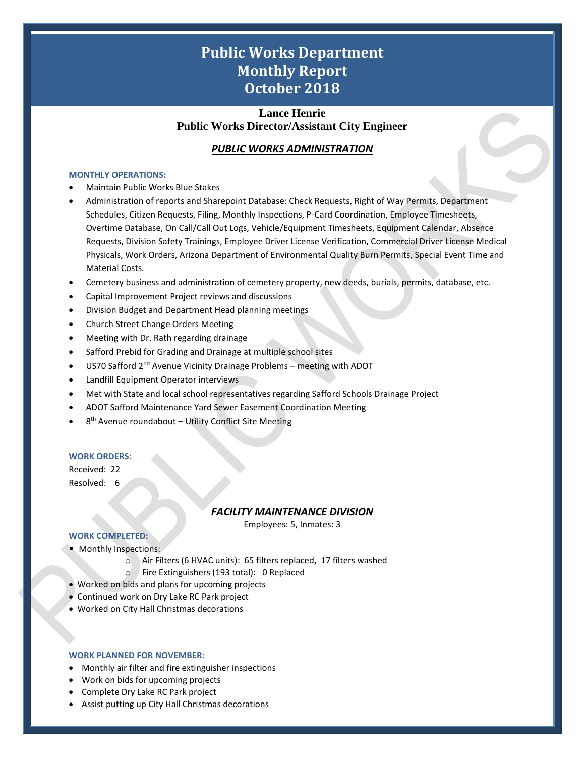# **Public Works Department Monthly Report October 2018**

## **Lance Henrie Public Works Director/Assistant City Engineer**

## *PUBLIC WORKS ADMINISTRATION*

#### **MONTHLY OPERATIONS:**

- Maintain Public Works Blue Stakes
- Administration of reports and Sharepoint Database: Check Requests, Right of Way Permits, Department Schedules, Citizen Requests, Filing, Monthly Inspections, P-Card Coordination, Employee Timesheets, Overtime Database, On Call/Call Out Logs, Vehicle/Equipment Timesheets, Equipment Calendar, Absence Requests, Division Safety Trainings, Employee Driver License Verification, Commercial Driver License Medical Physicals, Work Orders, Arizona Department of Environmental Quality Burn Permits, Special Event Time and Material Costs.
- Cemetery business and administration of cemetery property, new deeds, burials, permits, database, etc.
- Capital Improvement Project reviews and discussions
- Division Budget and Department Head planning meetings
- Church Street Change Orders Meeting
- Meeting with Dr. Rath regarding drainage
- Safford Prebid for Grading and Drainage at multiple school sites
- US70 Safford 2<sup>nd</sup> Avenue Vicinity Drainage Problems meeting with ADOT
- Landfill Equipment Operator interviews
- Met with State and local school representatives regarding Safford Schools Drainage Project
- ADOT Safford Maintenance Yard Sewer Easement Coordination Meeting
- 8<sup>th</sup> Avenue roundabout Utility Conflict Site Meeting

### **WORK ORDERS:**

Received: 22

# Resolved: 6

## *FACILITY MAINTENANCE DIVISION*

Employees: 5, Inmates: 3

1

## **WORK COMPLETED:**

- Monthly Inspections:
	- o Air Filters (6 HVAC units): 65 filters replaced, 17 filters washed
	- o Fire Extinguishers (193 total): 0 Replaced
- Worked on bids and plans for upcoming projects
- Continued work on Dry Lake RC Park project
- Worked on City Hall Christmas decorations

### **WORK PLANNED FOR NOVEMBER:**

- Monthly air filter and fire extinguisher inspections
- Work on bids for upcoming projects
- Complete Dry Lake RC Park project
- Assist putting up City Hall Christmas decorations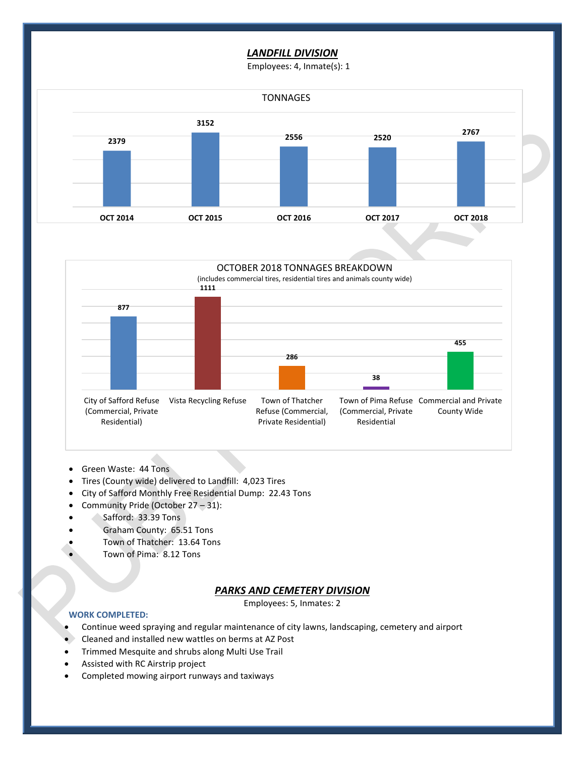## *LANDFILL DIVISION*

Employees: 4, Inmate(s): 1





- Green Waste: 44 Tons
- Tires (County wide) delivered to Landfill: 4,023 Tires
- City of Safford Monthly Free Residential Dump: 22.43 Tons
- Community Pride (October 27 31):
- Safford: 33.39 Tons
- Graham County: 65.51 Tons
- Town of Thatcher: 13.64 Tons
- Town of Pima: 8.12 Tons

## *PARKS AND CEMETERY DIVISION*

Employees: 5, Inmates: 2

2

## **WORK COMPLETED:**

- Continue weed spraying and regular maintenance of city lawns, landscaping, cemetery and airport
- Cleaned and installed new wattles on berms at AZ Post
- Trimmed Mesquite and shrubs along Multi Use Trail
- Assisted with RC Airstrip project
- Completed mowing airport runways and taxiways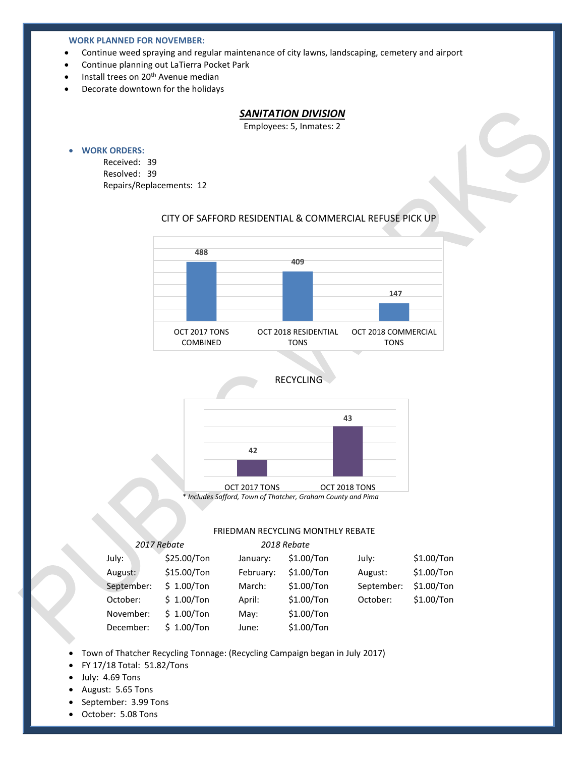#### **WORK PLANNED FOR NOVEMBER:**

- Continue weed spraying and regular maintenance of city lawns, landscaping, cemetery and airport
- Continue planning out LaTierra Pocket Park
- Install trees on 20<sup>th</sup> Avenue median
- Decorate downtown for the holidays

## *SANITATION DIVISION*

Employees: 5, Inmates: 2

#### • **WORK ORDERS:**

Received: 39 Resolved: 39 Repairs/Replacements: 12

## CITY OF SAFFORD RESIDENTIAL & COMMERCIAL REFUSE PICK UP



## RECYCLING



\* *Includes Safford, Town of Thatcher, Graham County and Pima*

## **FRIEDMAN RECYCLING MONTHLY REBATE**

3

|            | 2017 Rebate  | 2018 Rebate |              |            |              |
|------------|--------------|-------------|--------------|------------|--------------|
| July:      | \$25.00/Ton  | January:    | $$1.00/T$ on | July:      | $$1.00/T$ on |
| August:    | \$15.00/Ton  | February:   | $$1.00/T$ on | August:    | $$1.00/T$ on |
| September: | \$1.00/Ton   | March:      | $$1.00/T$ on | September: | $$1.00/T$ on |
| October:   | \$1.00/Ton   | April:      | $$1.00/T$ on | October:   | $$1.00/T$ on |
| November:  | \$1.00/Ton   | May:        | $$1.00/T$ on |            |              |
| December:  | $$1.00/T$ on | June:       | $$1.00/T$ on |            |              |

- Town of Thatcher Recycling Tonnage: (Recycling Campaign began in July 2017)
- FY 17/18 Total: 51.82/Tons
- July: 4.69 Tons
- August: 5.65 Tons
- September: 3.99 Tons
- October: 5.08 Tons